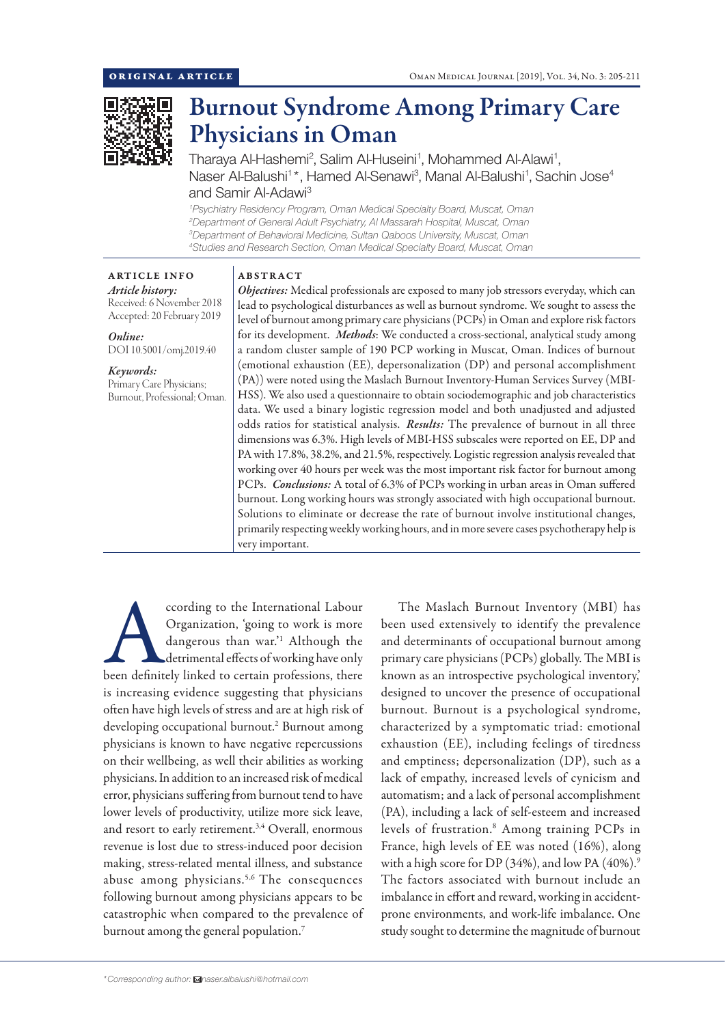

# Burnout Syndrome Among Primary Care Physicians in Oman

Tharaya Al-Hashemi<sup>2</sup>, Salim Al-Huseini<sup>1</sup>, Mohammed Al-Alawi<sup>1</sup> , Naser Al-Balushi<sup>1\*</sup>, Hamed Al-Senawi<sup>3</sup>, Manal Al-Balushi<sup>1</sup>, Sachin Jose<sup>4</sup> and Samir Al-Adawi3

 *Psychiatry Residency Program, Oman Medical Specialty Board, Muscat, Oman Department of General Adult Psychiatry, Al Massarah Hospital, Muscat, Oman Department of Behavioral Medicine, Sultan Qaboos University, Muscat, Oman Studies and Research Section, Oman Medical Specialty Board, Muscat, Oman*

ABSTRACT

## ARTICLE INFO *Article history:*

Received: 6 November 2018 Accepted: 20 February 2019

*Online:* DOI 10.5001/omj.2019.40

#### *Keywords:*  Primary Care Physicians; Burnout, Professional; Oman.

*Objectives:* Medical professionals are exposed to many job stressors everyday, which can lead to psychological disturbances as well as burnout syndrome. We sought to assess the level of burnout among primary care physicians (PCPs) in Oman and explore risk factors for its development. *Methods*: We conducted a cross-sectional, analytical study among a random cluster sample of 190 PCP working in Muscat, Oman. Indices of burnout (emotional exhaustion (EE), depersonalization (DP) and personal accomplishment (PA)) were noted using the Maslach Burnout Inventory-Human Services Survey (MBI-HSS). We also used a questionnaire to obtain sociodemographic and job characteristics data. We used a binary logistic regression model and both unadjusted and adjusted odds ratios for statistical analysis. *Results:* The prevalence of burnout in all three dimensions was 6.3%. High levels of MBI-HSS subscales were reported on EE, DP and PA with 17.8%, 38.2%, and 21.5%, respectively. Logistic regression analysis revealed that working over 40 hours per week was the most important risk factor for burnout among PCPs. *Conclusions:* A total of 6.3% of PCPs working in urban areas in Oman suffered burnout. Long working hours was strongly associated with high occupational burnout. Solutions to eliminate or decrease the rate of burnout involve institutional changes, primarily respecting weekly working hours, and in more severe cases psychotherapy help is very important.

cording to the International Labour<br>
Organization, 'going to work is more<br>
dangerous than war.'<sup>1</sup> Although the<br>
detrimental effects of working have only<br>
been definitely linked to certain professions, there Organization, 'going to work is more dangerous than war.'1 Although the detrimental effects of working have only is increasing evidence suggesting that physicians often have high levels of stress and are at high risk of developing occupational burnout.<sup>2</sup> Burnout among physicians is known to have negative repercussions on their wellbeing, as well their abilities as working physicians. In addition to an increased risk of medical error, physicians suffering from burnout tend to have lower levels of productivity, utilize more sick leave, and resort to early retirement.<sup>3,4</sup> Overall, enormous revenue is lost due to stress-induced poor decision making, stress-related mental illness, and substance abuse among physicians.5,6 The consequences following burnout among physicians appears to be catastrophic when compared to the prevalence of burnout among the general population.<sup>7</sup>

The Maslach Burnout Inventory (MBI) has been used extensively to identify the prevalence and determinants of occupational burnout among primary care physicians (PCPs) globally. The MBI is known as an introspective psychological inventory,' designed to uncover the presence of occupational burnout. Burnout is a psychological syndrome, characterized by a symptomatic triad: emotional exhaustion (EE), including feelings of tiredness and emptiness; depersonalization (DP), such as a lack of empathy, increased levels of cynicism and automatism; and a lack of personal accomplishment (PA), including a lack of self-esteem and increased levels of frustration.8 Among training PCPs in France, high levels of EE was noted (16%), along with a high score for DP  $(34%)$ , and low PA  $(40%)$ .<sup>9</sup> The factors associated with burnout include an imbalance in effort and reward, working in accidentprone environments, and work-life imbalance. One study sought to determine the magnitude of burnout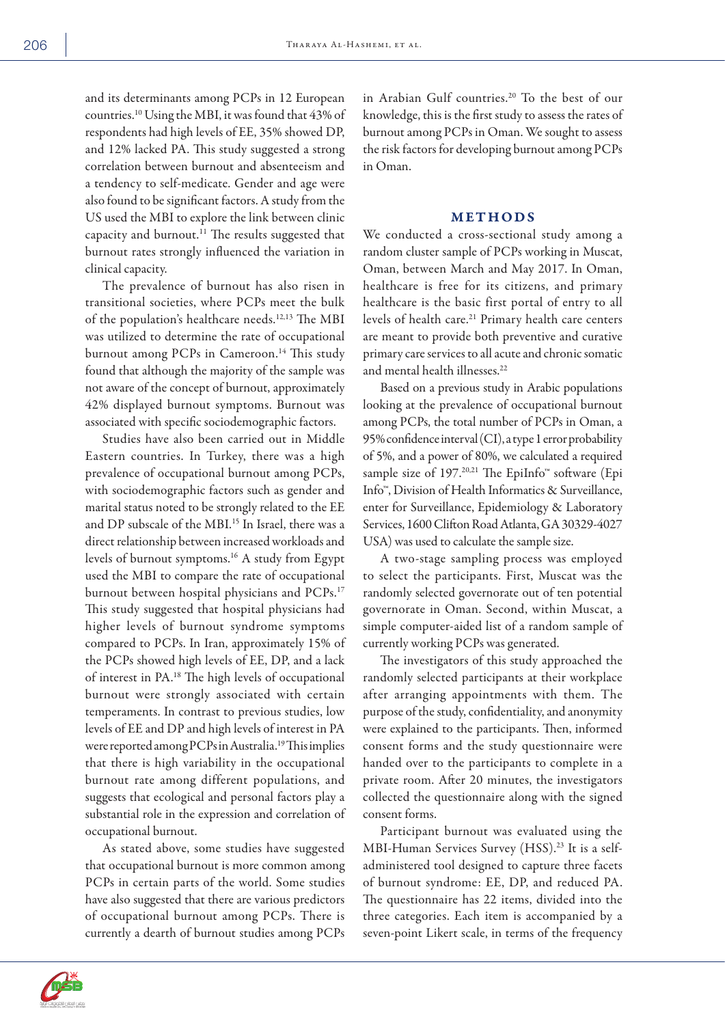and its determinants among PCPs in 12 European countries.10 Using the MBI, it was found that 43% of respondents had high levels of EE, 35% showed DP, and 12% lacked PA. This study suggested a strong correlation between burnout and absenteeism and a tendency to self-medicate. Gender and age were also found to be significant factors. A study from the US used the MBI to explore the link between clinic capacity and burnout.11 The results suggested that burnout rates strongly influenced the variation in clinical capacity.

The prevalence of burnout has also risen in transitional societies, where PCPs meet the bulk of the population's healthcare needs.12,13 The MBI was utilized to determine the rate of occupational burnout among PCPs in Cameroon.<sup>14</sup> This study found that although the majority of the sample was not aware of the concept of burnout, approximately 42% displayed burnout symptoms. Burnout was associated with specific sociodemographic factors.

Studies have also been carried out in Middle Eastern countries. In Turkey, there was a high prevalence of occupational burnout among PCPs, with sociodemographic factors such as gender and marital status noted to be strongly related to the EE and DP subscale of the MBI.<sup>15</sup> In Israel, there was a direct relationship between increased workloads and levels of burnout symptoms.16 A study from Egypt used the MBI to compare the rate of occupational burnout between hospital physicians and PCPs.17 This study suggested that hospital physicians had higher levels of burnout syndrome symptoms compared to PCPs. In Iran, approximately 15% of the PCPs showed high levels of EE, DP, and a lack of interest in PA.18 The high levels of occupational burnout were strongly associated with certain temperaments. In contrast to previous studies, low levels of EE and DP and high levels of interest in PA were reported among PCPs in Australia.19 This implies that there is high variability in the occupational burnout rate among different populations, and suggests that ecological and personal factors play a substantial role in the expression and correlation of occupational burnout.

As stated above, some studies have suggested that occupational burnout is more common among PCPs in certain parts of the world. Some studies have also suggested that there are various predictors of occupational burnout among PCPs. There is currently a dearth of burnout studies among PCPs in Arabian Gulf countries.20 To the best of our knowledge, this is the first study to assess the rates of burnout among PCPs in Oman. We sought to assess the risk factors for developing burnout among PCPs in Oman.

## METHODS

We conducted a cross-sectional study among a random cluster sample of PCPs working in Muscat, Oman, between March and May 2017. In Oman, healthcare is free for its citizens, and primary healthcare is the basic first portal of entry to all levels of health care.<sup>21</sup> Primary health care centers are meant to provide both preventive and curative primary care services to all acute and chronic somatic and mental health illnesses.<sup>22</sup>

Based on a previous study in Arabic populations looking at the prevalence of occupational burnout among PCPs, the total number of PCPs in Oman, a 95% confidence interval (CI), a type 1 error probability of 5%, and a power of 80%, we calculated a required sample size of 197.<sup>20,21</sup> The EpiInfo<sup>™</sup> software (Epi Info™, Division of Health Informatics & Surveillance, enter for Surveillance, Epidemiology & Laboratory Services, 1600 Clifton Road Atlanta, GA 30329-4027 USA) was used to calculate the sample size.

A two-stage sampling process was employed to select the participants. First, Muscat was the randomly selected governorate out of ten potential governorate in Oman. Second, within Muscat, a simple computer-aided list of a random sample of currently working PCPs was generated.

The investigators of this study approached the randomly selected participants at their workplace after arranging appointments with them. The purpose of the study, confidentiality, and anonymity were explained to the participants. Then, informed consent forms and the study questionnaire were handed over to the participants to complete in a private room. After 20 minutes, the investigators collected the questionnaire along with the signed consent forms.

Participant burnout was evaluated using the MBI-Human Services Survey (HSS).<sup>23</sup> It is a selfadministered tool designed to capture three facets of burnout syndrome: EE, DP, and reduced PA. The questionnaire has 22 items, divided into the three categories. Each item is accompanied by a seven-point Likert scale, in terms of the frequency

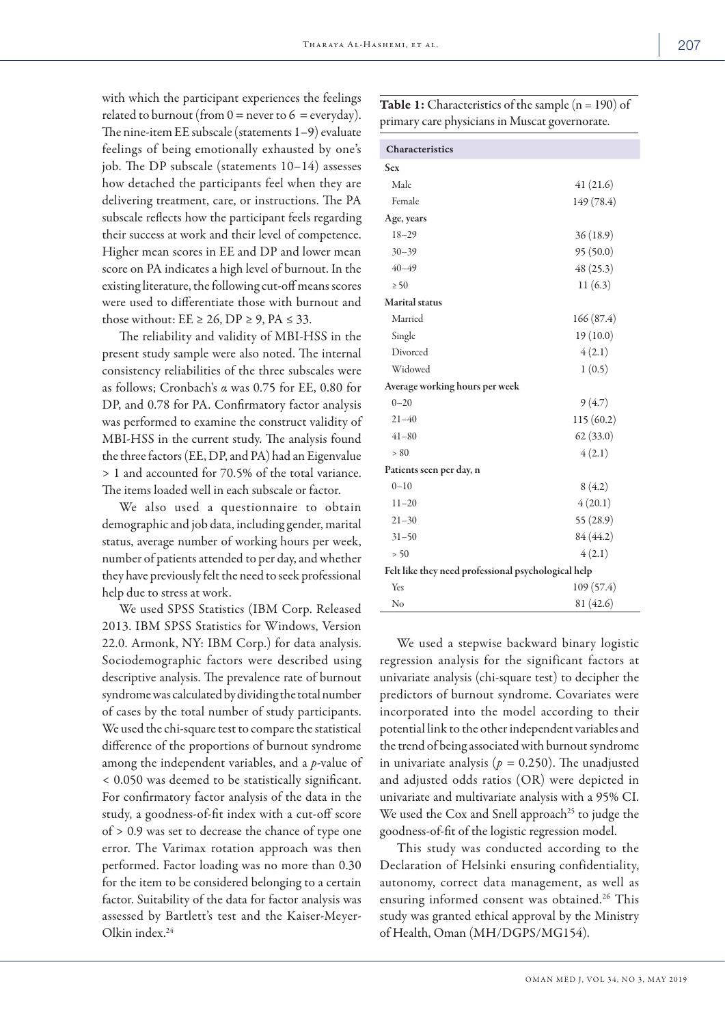with which the participant experiences the feelings related to burnout (from  $0 =$  never to  $6 =$  everyday). The nine-item EE subscale (statements 1–9) evaluate feelings of being emotionally exhausted by one's job. The DP subscale (statements 10–14) assesses how detached the participants feel when they are delivering treatment, care, or instructions. The PA subscale reflects how the participant feels regarding their success at work and their level of competence. Higher mean scores in EE and DP and lower mean score on PA indicates a high level of burnout. In the existing literature, the following cut-off means scores were used to differentiate those with burnout and those without:  $EE \ge 26$ ,  $DP \ge 9$ ,  $PA \le 33$ .

The reliability and validity of MBI-HSS in the present study sample were also noted. The internal consistency reliabilities of the three subscales were as follows; Cronbach's α was 0.75 for EE, 0.80 for DP, and 0.78 for PA. Confirmatory factor analysis was performed to examine the construct validity of MBI-HSS in the current study. The analysis found the three factors (EE, DP, and PA) had an Eigenvalue > 1 and accounted for 70.5% of the total variance. The items loaded well in each subscale or factor.

We also used a questionnaire to obtain demographic and job data, including gender, marital status, average number of working hours per week, number of patients attended to per day, and whether they have previously felt the need to seek professional help due to stress at work.

We used SPSS Statistics (IBM Corp. Released 2013. IBM SPSS Statistics for Windows, Version 22.0. Armonk, NY: IBM Corp.) for data analysis. Sociodemographic factors were described using descriptive analysis. The prevalence rate of burnout syndrome was calculated by dividing the total number of cases by the total number of study participants. We used the chi-square test to compare the statistical difference of the proportions of burnout syndrome among the independent variables, and a *p*-value of < 0.050 was deemed to be statistically significant. For confirmatory factor analysis of the data in the study, a goodness-of-fit index with a cut-off score of > 0.9 was set to decrease the chance of type one error. The Varimax rotation approach was then performed. Factor loading was no more than 0.30 for the item to be considered belonging to a certain factor. Suitability of the data for factor analysis was assessed by Bartlett's test and the Kaiser-Meyer-Olkin index.24

**Table 1:** Characteristics of the sample  $(n = 190)$  of primary care physicians in Muscat governorate.

| Characteristics                                     |            |  |  |  |  |  |
|-----------------------------------------------------|------------|--|--|--|--|--|
| <b>Sex</b>                                          |            |  |  |  |  |  |
| Male                                                | 41(21.6)   |  |  |  |  |  |
| Female                                              | 149 (78.4) |  |  |  |  |  |
| Age, years                                          |            |  |  |  |  |  |
| $18 - 29$                                           | 36(18.9)   |  |  |  |  |  |
| $30 - 39$                                           | 95(50.0)   |  |  |  |  |  |
| $40 - 49$                                           | 48(25.3)   |  |  |  |  |  |
| $\geq 50$                                           | 11(6.3)    |  |  |  |  |  |
| <b>Marital</b> status                               |            |  |  |  |  |  |
| Married                                             | 166(87.4)  |  |  |  |  |  |
| Single                                              | 19(10.0)   |  |  |  |  |  |
| Divorced                                            | 4(2.1)     |  |  |  |  |  |
| Widowed                                             | 1(0.5)     |  |  |  |  |  |
| Average working hours per week                      |            |  |  |  |  |  |
| $0 - 20$                                            | 9(4.7)     |  |  |  |  |  |
| $21 - 40$                                           | 115(60.2)  |  |  |  |  |  |
| $41 - 80$                                           | 62(33.0)   |  |  |  |  |  |
| > 80                                                | 4(2.1)     |  |  |  |  |  |
| Patients seen per day, n                            |            |  |  |  |  |  |
| $0 - 10$                                            | 8(4.2)     |  |  |  |  |  |
| $11 - 20$                                           | 4(20.1)    |  |  |  |  |  |
| $21 - 30$                                           | 55 (28.9)  |  |  |  |  |  |
| $31 - 50$                                           | 84 (44.2)  |  |  |  |  |  |
| > 50                                                | 4(2.1)     |  |  |  |  |  |
| Felt like they need professional psychological help |            |  |  |  |  |  |
| Yes                                                 | 109(57.4)  |  |  |  |  |  |
| No                                                  | 81 (42.6)  |  |  |  |  |  |

We used a stepwise backward binary logistic regression analysis for the significant factors at univariate analysis (chi-square test) to decipher the predictors of burnout syndrome. Covariates were incorporated into the model according to their potential link to the other independent variables and the trend of being associated with burnout syndrome in univariate analysis ( $p = 0.250$ ). The unadjusted and adjusted odds ratios (OR) were depicted in univariate and multivariate analysis with a 95% CI. We used the Cox and Snell approach<sup>25</sup> to judge the goodness-of-fit of the logistic regression model.

This study was conducted according to the Declaration of Helsinki ensuring confidentiality, autonomy, correct data management, as well as ensuring informed consent was obtained.26 This study was granted ethical approval by the Ministry of Health, Oman (MH/DGPS/MG154).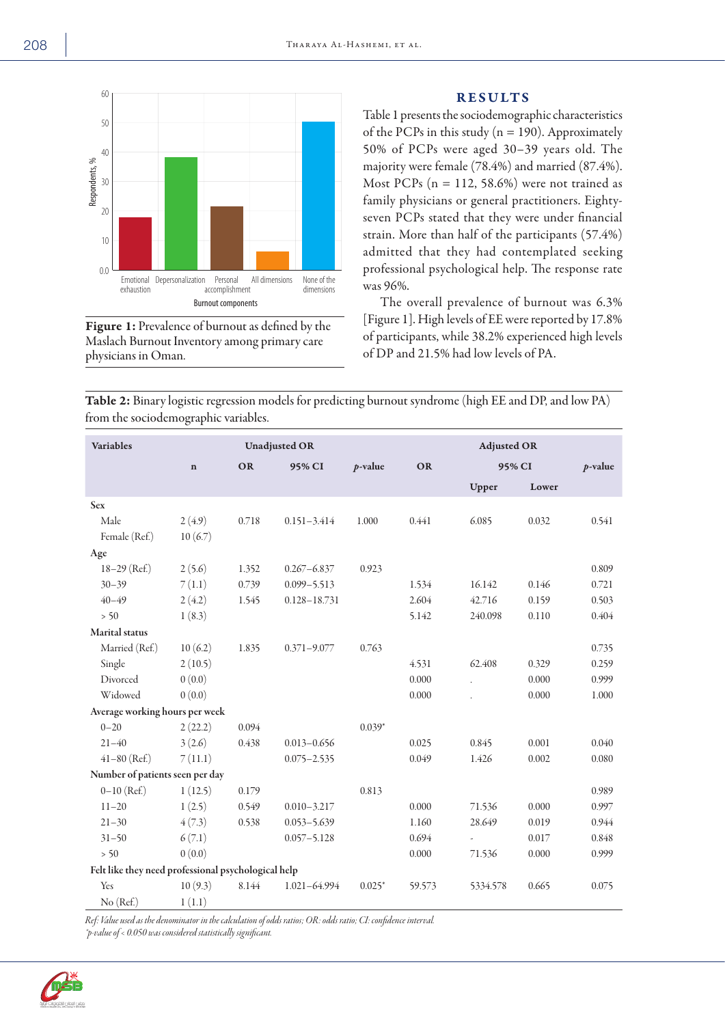

Figure 1: Prevalence of burnout as defined by the Maslach Burnout Inventory among primary care physicians in Oman.

## RESULTS

Table 1 presents the sociodemographic characteristics of the PCPs in this study ( $n = 190$ ). Approximately 50% of PCPs were aged 30–39 years old. The majority were female (78.4%) and married (87.4%). Most PCPs ( $n = 112, 58.6\%$ ) were not trained as family physicians or general practitioners. Eightyseven PCPs stated that they were under financial strain. More than half of the participants (57.4%) admitted that they had contemplated seeking professional psychological help. The response rate was 96%.

The overall prevalence of burnout was 6.3% [Figure 1]. High levels of EE were reported by 17.8% of participants, while 38.2% experienced high levels of DP and 21.5% had low levels of PA.

Table 2: Binary logistic regression models for predicting burnout syndrome (high EE and DP, and low PA) from the sociodemographic variables.

| <b>Variables</b>                                    | <b>Unadjusted OR</b> |       |                  |            | <b>Adjusted OR</b> |                          |       |            |  |
|-----------------------------------------------------|----------------------|-------|------------------|------------|--------------------|--------------------------|-------|------------|--|
|                                                     | $\mathbf n$          | OR    | 95% CI           | $p$ -value | <b>OR</b>          | 95% CI                   |       | $p$ -value |  |
|                                                     |                      |       |                  |            |                    | Upper                    | Lower |            |  |
| <b>Sex</b>                                          |                      |       |                  |            |                    |                          |       |            |  |
| Male                                                | 2(4.9)               | 0.718 | $0.151 - 3.414$  | 1.000      | 0.441              | 6.085                    | 0.032 | 0.541      |  |
| Female (Ref.)                                       | 10(6.7)              |       |                  |            |                    |                          |       |            |  |
| Age                                                 |                      |       |                  |            |                    |                          |       |            |  |
| $18-29$ (Ref.)                                      | 2(5.6)               | 1.352 | $0.267 - 6.837$  | 0.923      |                    |                          |       | 0.809      |  |
| $30 - 39$                                           | 7(1.1)               | 0.739 | $0.099 - 5.513$  |            | 1.534              | 16.142                   | 0.146 | 0.721      |  |
| $40 - 49$                                           | 2(4.2)               | 1.545 | $0.128 - 18.731$ |            | 2.604              | 42.716                   | 0.159 | 0.503      |  |
| $> 50$                                              | 1(8.3)               |       |                  |            | 5.142              | 240.098                  | 0.110 | 0.404      |  |
| Marital status                                      |                      |       |                  |            |                    |                          |       |            |  |
| Married (Ref.)                                      | 10(6.2)              | 1.835 | $0.371 - 9.077$  | 0.763      |                    |                          |       | 0.735      |  |
| Single                                              | 2(10.5)              |       |                  |            | 4.531              | 62.408                   | 0.329 | 0.259      |  |
| Divorced                                            | 0(0.0)               |       |                  |            | 0.000              | $\mathbf{r}$             | 0.000 | 0.999      |  |
| Widowed                                             | 0(0.0)               |       |                  |            | 0.000              |                          | 0.000 | 1.000      |  |
| Average working hours per week                      |                      |       |                  |            |                    |                          |       |            |  |
| $0 - 20$                                            | 2(22.2)              | 0.094 |                  | $0.039*$   |                    |                          |       |            |  |
| $21 - 40$                                           | 3(2.6)               | 0.438 | $0.013 - 0.656$  |            | 0.025              | 0.845                    | 0.001 | 0.040      |  |
| $41-80$ (Ref.)                                      | 7(11.1)              |       | $0.075 - 2.535$  |            | 0.049              | 1.426                    | 0.002 | 0.080      |  |
| Number of patients seen per day                     |                      |       |                  |            |                    |                          |       |            |  |
| $0-10$ (Ref.)                                       | 1(12.5)              | 0.179 |                  | 0.813      |                    |                          |       | 0.989      |  |
| $11 - 20$                                           | 1(2.5)               | 0.549 | $0.010 - 3.217$  |            | 0.000              | 71.536                   | 0.000 | 0.997      |  |
| $21 - 30$                                           | 4(7.3)               | 0.538 | $0.053 - 5.639$  |            | 1.160              | 28.649                   | 0.019 | 0.944      |  |
| $31 - 50$                                           | 6(7.1)               |       | $0.057 - 5.128$  |            | 0.694              | $\overline{\phantom{a}}$ | 0.017 | 0.848      |  |
| $> 50$                                              | 0(0.0)               |       |                  |            | 0.000              | 71.536                   | 0.000 | 0.999      |  |
| Felt like they need professional psychological help |                      |       |                  |            |                    |                          |       |            |  |
| Yes                                                 | 10(9.3)              | 8.144 | 1.021-64.994     | $0.025*$   | 59.573             | 5334.578                 | 0.665 | 0.075      |  |
| No (Ref.)                                           | 1(1.1)               |       |                  |            |                    |                          |       |            |  |

*Ref: Value used as the denominator in the calculation of odds ratios; OR: odds ratio; CI: confidence interval. \*p-value of < 0.050 was considered statistically significant.*

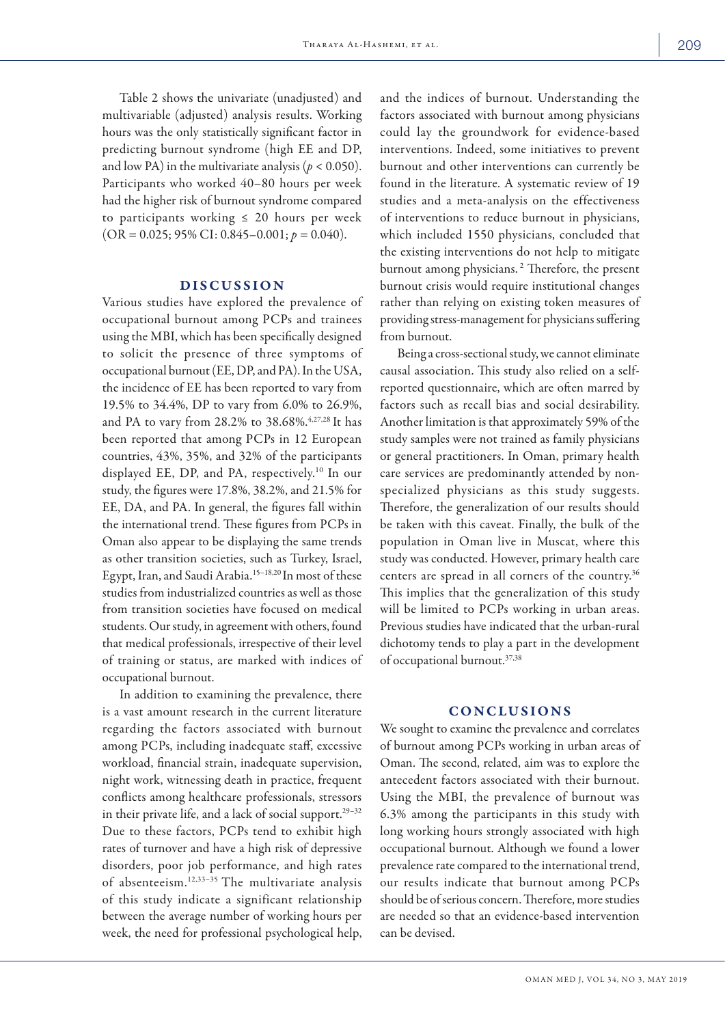Table 2 shows the univariate (unadjusted) and multivariable (adjusted) analysis results. Working hours was the only statistically significant factor in predicting burnout syndrome (high EE and DP, and low PA) in the multivariate analysis ( $p < 0.050$ ). Participants who worked 40–80 hours per week had the higher risk of burnout syndrome compared to participants working  $\leq$  20 hours per week  $(OR = 0.025; 95\% CI: 0.845 - 0.001; p = 0.040).$ 

## DISCUSSION

Various studies have explored the prevalence of occupational burnout among PCPs and trainees using the MBI, which has been specifically designed to solicit the presence of three symptoms of occupational burnout (EE, DP, and PA). In the USA, the incidence of EE has been reported to vary from 19.5% to 34.4%, DP to vary from 6.0% to 26.9%, and PA to vary from 28.2% to 38.68%.<sup>4,27,28</sup> It has been reported that among PCPs in 12 European countries, 43%, 35%, and 32% of the participants displayed EE, DP, and PA, respectively.10 In our study, the figures were 17.8%, 38.2%, and 21.5% for EE, DA, and PA. In general, the figures fall within the international trend. These figures from PCPs in Oman also appear to be displaying the same trends as other transition societies, such as Turkey, Israel, Egypt, Iran, and Saudi Arabia.15–18,20 In most of these studies from industrialized countries as well as those from transition societies have focused on medical students. Our study, in agreement with others, found that medical professionals, irrespective of their level of training or status, are marked with indices of occupational burnout.

In addition to examining the prevalence, there is a vast amount research in the current literature regarding the factors associated with burnout among PCPs, including inadequate staff, excessive workload, financial strain, inadequate supervision, night work, witnessing death in practice, frequent conflicts among healthcare professionals, stressors in their private life, and a lack of social support.<sup>29-32</sup> Due to these factors, PCPs tend to exhibit high rates of turnover and have a high risk of depressive disorders, poor job performance, and high rates of absenteeism.12,33–35 The multivariate analysis of this study indicate a significant relationship between the average number of working hours per week, the need for professional psychological help, and the indices of burnout. Understanding the factors associated with burnout among physicians could lay the groundwork for evidence-based interventions. Indeed, some initiatives to prevent burnout and other interventions can currently be found in the literature. A systematic review of 19 studies and a meta-analysis on the effectiveness of interventions to reduce burnout in physicians, which included 1550 physicians, concluded that the existing interventions do not help to mitigate burnout among physicians. 2 Therefore, the present burnout crisis would require institutional changes rather than relying on existing token measures of providing stress-management for physicians suffering from burnout.

Being a cross-sectional study, we cannot eliminate causal association. This study also relied on a selfreported questionnaire, which are often marred by factors such as recall bias and social desirability. Another limitation is that approximately 59% of the study samples were not trained as family physicians or general practitioners. In Oman, primary health care services are predominantly attended by nonspecialized physicians as this study suggests. Therefore, the generalization of our results should be taken with this caveat. Finally, the bulk of the population in Oman live in Muscat, where this study was conducted. However, primary health care centers are spread in all corners of the country.36 This implies that the generalization of this study will be limited to PCPs working in urban areas. Previous studies have indicated that the urban-rural dichotomy tends to play a part in the development of occupational burnout.37,38

## CONCLUSIONS

We sought to examine the prevalence and correlates of burnout among PCPs working in urban areas of Oman. The second, related, aim was to explore the antecedent factors associated with their burnout. Using the MBI, the prevalence of burnout was 6.3% among the participants in this study with long working hours strongly associated with high occupational burnout. Although we found a lower prevalence rate compared to the international trend, our results indicate that burnout among PCPs should be of serious concern. Therefore, more studies are needed so that an evidence-based intervention can be devised.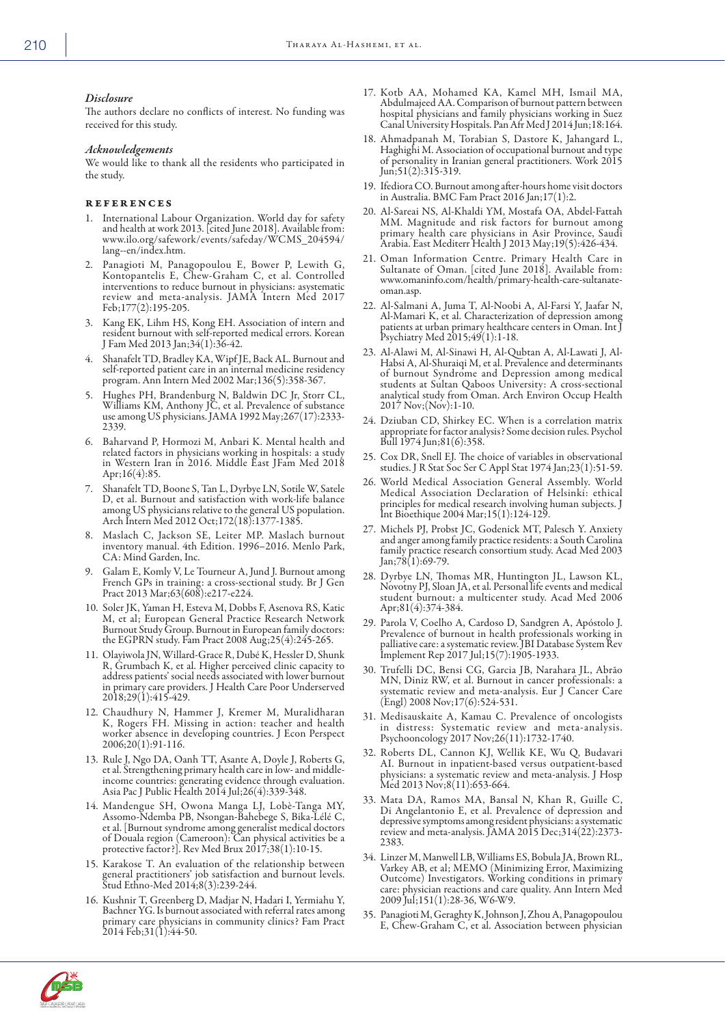## *Disclosure*

The authors declare no conflicts of interest. No funding was received for this study.

#### *Acknowledgements*

We would like to thank all the residents who participated in the study.

#### references

- 1. International Labour Organization. World day for safety and health at work 2013. [cited June 2018]. Available from: www.ilo.org/safework/events/safeday/WCMS\_204594/ lang--en/index.htm.
- Panagioti M, Panagopoulou E, Bower P, Lewith G, Kontopantelis E, Chew-Graham C, et al. Controlled interventions to reduce burnout in physicians: asystematic review and meta-analysis. JAMA Intern Med 2017 Feb;177(2):195-205.
- 3. Kang EK, Lihm HS, Kong EH. Association of intern and resident burnout with self-reported medical errors. Korean J Fam Med 2013 Jan;34(1):36-42.
- 4. Shanafelt TD, Bradley KA, Wipf JE, Back AL. Burnout and self-reported patient care in an internal medicine residency program. Ann Intern Med 2002 Mar;136(5):358-367.
- 5. Hughes PH, Brandenburg N, Baldwin DC Jr, Storr CL, Williams KM, Anthony JC, et al. Prevalence of substance use among US physicians. JAMA 1992 May;267(17):2333- 2339.
- 6. Baharvand P, Hormozi M, Anbari K. Mental health and related factors in physicians working in hospitals: a study in Western Iran in 2016. Middle East JFam Med 2018 Apr;16(4):85.
- 7. Shanafelt TD, Boone S, Tan L, Dyrbye LN, Sotile W, Satele D, et al. Burnout and satisfaction with work-life balance among US physicians relative to the general US population. Arch Intern Med 2012 Oct;172(18):1377-1385.
- Maslach C, Jackson SE, Leiter MP. Maslach burnout inventory manual. 4th Edition. 1996–2016. Menlo Park, CA: Mind Garden, Inc.
- 9. Galam E, Komly V, Le Tourneur A, Jund J. Burnout among French GPs in training: a cross-sectional study. Br J Gen Pract 2013 Mar;63(608):e217-e224.
- 10. Soler JK, Yaman H, Esteva M, Dobbs F, Asenova RS, Katic M, et al; European General Practice Research Network Burnout Study Group. Burnout in European family doctors: the EGPRN study. Fam Pract 2008 Aug;25(4):245-265.
- 11. Olayiwola JN, Willard-Grace R, Dubé K, Hessler D, Shunk R, Grumbach K, et al. Higher perceived clinic capacity to address patients' social needs associated with lower burnout in primary care providers. J Health Care Poor Underserved 2018;29(1):415-429.
- 12. Chaudhury N, Hammer J, Kremer M, Muralidharan K, Rogers FH. Missing in action: teacher and health worker absence in developing countries. J Econ Perspect 2006;20(1):91-116.
- 13. Rule J, Ngo DA, Oanh TT, Asante A, Doyle J, Roberts G, et al. Strengthening primary health care in low- and middleincome countries: generating evidence through evaluation. Asia Pac J Public Health 2014 Jul;26(4):339-348.
- 14. Mandengue SH, Owona Manga LJ, Lobè-Tanga MY, Assomo-Ndemba PB, Nsongan-Bahebege S, Bika-Lélé C, et al. [Burnout syndrome among generalist medical doctors of Douala region (Cameroon): Can physical activities be a protective factor?]. Rev Med Brux 2017;38(1):10-15.
- 15. Karakose T. An evaluation of the relationship between general practitioners' job satisfaction and burnout levels. Stud Ethno-Med 2014;8(3):239-244.
- 16. Kushnir T, Greenberg D, Madjar N, Hadari I, Yermiahu Y, Bachner YG. Is burnout associated with referral rates among primary care physicians in community clinics? Fam Pract  $2014$  Feb;  $31(1):44-50$ .
- 17. Kotb AA, Mohamed KA, Kamel MH, Ismail MA, Abdulmajeed AA. Comparison of burnout pattern between hospital physicians and family physicians working in Suez Canal University Hospitals. Pan Afr Med J 2014 Jun;18:164.
- 18. Ahmadpanah M, Torabian S, Dastore K, Jahangard L, Haghighi M. Association of occupational burnout and type of personality in Iranian general practitioners. Work 2015 Jun;51(2):315-319.
- 19. Ifediora CO. Burnout among after-hours home visit doctors in Australia. BMC Fam Pract 2016 Jan;17(1):2.
- 20. Al-Sareai NS, Al-Khaldi YM, Mostafa OA, Abdel-Fattah MM. Magnitude and risk factors for burnout among primary health care physicians in Asir Province, Saudi Arabia. East Mediterr Health J 2013 May;19(5):426-434.
- 21. Oman Information Centre. Primary Health Care in Sultanate of Oman. [cited June 2018]. Available from: www.omaninfo.com/health/primary-health-care-sultanateoman.asp.
- 22. Al-Salmani A, Juma T, Al-Noobi A, Al-Farsi Y, Jaafar N, Al-Mamari K, et al. Characterization of depression among patients at urban primary healthcare centers in Oman. Int J Psychiatry Med 2015;49(1):1-18.
- 23. Al-Alawi M, Al-Sinawi H, Al-Qubtan A, Al-Lawati J, Al-Habsi A, Al-Shuraiqi M, et al. Prevalence and determinants of burnout Syndrome and Depression among medical students at Sultan Qaboos University: A cross-sectional analytical study from Oman. Arch Environ Occup Health 2017 Nov;(Nov):1-10.
- 24. Dziuban CD, Shirkey EC. When is a correlation matrix appropriate for factor analysis? Some decision rules. Psychol Bull 1974 Jun;81(6):358.
- 25. Cox DR, Snell EJ. The choice of variables in observational studies. J R Stat Soc Ser C Appl Stat 1974 Jan;23(1):51-59.
- 26. World Medical Association General Assembly. World Medical Association Declaration of Helsinki: ethical principles for medical research involving human subjects. J Int Bioethique 2004 Mar;15(1):124-129.
- 27. Michels PJ, Probst JC, Godenick MT, Palesch Y. Anxiety and anger among family practice residents: a South Carolina family practice research consortium study. Acad Med 2003 Jan;78(1):69-79.
- 28. Dyrbye LN, Thomas MR, Huntington JL, Lawson KL, Novotny PJ, Sloan JA, et al. Personal life events and medical student burnout: a multicenter study. Acad Med 2006 Apr;81(4):374-384.
- 29. Parola V, Coelho A, Cardoso D, Sandgren A, Apóstolo J. Prevalence of burnout in health professionals working in palliative care: a systematic review. JBI Database System Rev Implement Rep 2017 Jul;15(7):1905-1933.
- 30. Trufelli DC, Bensi CG, Garcia JB, Narahara JL, Abrão MN, Diniz RW, et al. Burnout in cancer professionals: a systematic review and meta-analysis. Eur J Cancer Care (Engl) 2008 Nov;17(6):524-531.
- 31. Medisauskaite A, Kamau C. Prevalence of oncologists in distress: Systematic review and meta-analysis. Psychooncology 2017 Nov;26(11):1732-1740.
- 32. Roberts DL, Cannon KJ, Wellik KE, Wu Q, Budavari AI. Burnout in inpatient-based versus outpatient-based physicians: a systematic review and meta-analysis. J Hosp Med 2013 Nov;8(11):653-664.
- 33. Mata DA, Ramos MA, Bansal N, Khan R, Guille C, Di Angelantonio E, et al. Prevalence of depression and depressive symptoms among resident physicians: a systematic review and meta-analysis. JAMA 2015 Dec;314(22):2373- 2383.
- 34. Linzer M, Manwell LB, Williams ES, Bobula JA, Brown RL, Varkey AB, et al; MEMO (Minimizing Error, Maximizing Outcome) Investigators. Working conditions in primary care: physician reactions and care quality. Ann Intern Med 2009 Jul;151(1):28-36, W6-W9.
- 35. Panagioti M, Geraghty K, Johnson J, Zhou A, Panagopoulou E, Chew-Graham C, et al. Association between physician